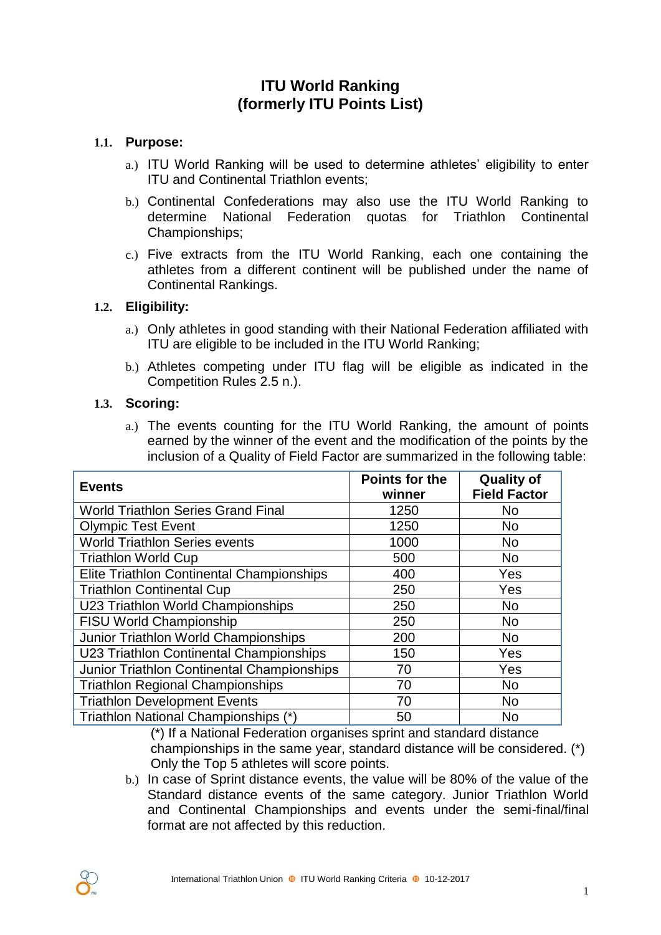# **ITU World Ranking (formerly ITU Points List)**

## **1.1. Purpose:**

- a.) ITU World Ranking will be used to determine athletes' eligibility to enter ITU and Continental Triathlon events;
- b.) Continental Confederations may also use the ITU World Ranking to determine National Federation quotas for Triathlon Continental Championships;
- c.) Five extracts from the ITU World Ranking, each one containing the athletes from a different continent will be published under the name of Continental Rankings.

## **1.2. Eligibility:**

- a.) Only athletes in good standing with their National Federation affiliated with ITU are eligible to be included in the ITU World Ranking;
- b.) Athletes competing under ITU flag will be eligible as indicated in the Competition Rules 2.5 n.).

## **1.3. Scoring:**

a.) The events counting for the ITU World Ranking, the amount of points earned by the winner of the event and the modification of the points by the inclusion of a Quality of Field Factor are summarized in the following table:

| <b>Events</b>                              | <b>Points for the</b><br>winner | <b>Quality of</b><br><b>Field Factor</b> |
|--------------------------------------------|---------------------------------|------------------------------------------|
| <b>World Triathlon Series Grand Final</b>  | 1250                            | <b>No</b>                                |
| <b>Olympic Test Event</b>                  | 1250                            | <b>No</b>                                |
| <b>World Triathlon Series events</b>       | 1000                            | <b>No</b>                                |
| <b>Triathlon World Cup</b>                 | 500                             | <b>No</b>                                |
| Elite Triathlon Continental Championships  | 400                             | Yes                                      |
| <b>Triathlon Continental Cup</b>           | 250                             | Yes                                      |
| U23 Triathlon World Championships          | 250                             | <b>No</b>                                |
| <b>FISU World Championship</b>             | 250                             | <b>No</b>                                |
| Junior Triathlon World Championships       | 200                             | <b>No</b>                                |
| U23 Triathlon Continental Championships    | 150                             | Yes                                      |
| Junior Triathlon Continental Championships | 70                              | Yes                                      |
| <b>Triathlon Regional Championships</b>    | 70                              | <b>No</b>                                |
| <b>Triathlon Development Events</b>        | 70                              | <b>No</b>                                |
| Triathlon National Championships (*)       | 50                              | <b>No</b>                                |

(\*) If a National Federation organises sprint and standard distance championships in the same year, standard distance will be considered. (\*) Only the Top 5 athletes will score points.

b.) In case of Sprint distance events, the value will be 80% of the value of the Standard distance events of the same category. Junior Triathlon World and Continental Championships and events under the semi-final/final format are not affected by this reduction.

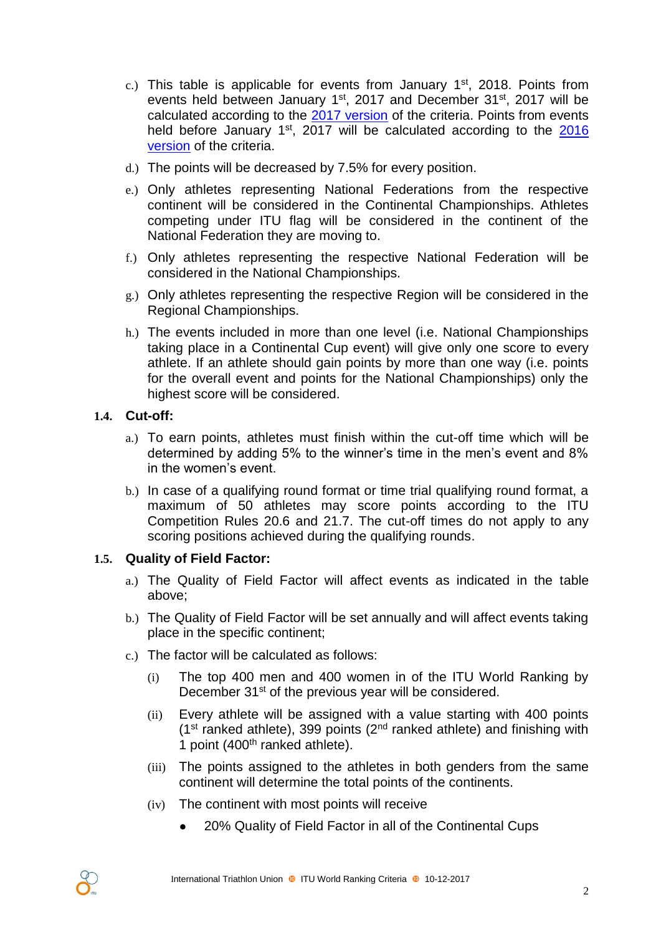- c.) This table is applicable for events from January  $1<sup>st</sup>$ , 2018. Points from events held between January 1<sup>st</sup>, 2017 and December 31<sup>st</sup>, 2017 will be calculated according to the [2017 version](https://www.triathlon.org/uploads/docs/itusport_competition-rules_2017-points-list-criteria.pdf) of the criteria. Points from events held before January 1<sup>st</sup>, 2017 will be calculated according to the [2016](https://www.triathlon.org/uploads/docs/ITU_points_list_criteria_06122015.pdf) [version](https://www.triathlon.org/uploads/docs/ITU_points_list_criteria_06122015.pdf) of the criteria.
- d.) The points will be decreased by 7.5% for every position.
- e.) Only athletes representing National Federations from the respective continent will be considered in the Continental Championships. Athletes competing under ITU flag will be considered in the continent of the National Federation they are moving to.
- f.) Only athletes representing the respective National Federation will be considered in the National Championships.
- g.) Only athletes representing the respective Region will be considered in the Regional Championships.
- h.) The events included in more than one level (i.e. National Championships taking place in a Continental Cup event) will give only one score to every athlete. If an athlete should gain points by more than one way (i.e. points for the overall event and points for the National Championships) only the highest score will be considered.

#### **1.4. Cut-off:**

- a.) To earn points, athletes must finish within the cut-off time which will be determined by adding 5% to the winner's time in the men's event and 8% in the women's event.
- b.) In case of a qualifying round format or time trial qualifying round format, a maximum of 50 athletes may score points according to the ITU Competition Rules 20.6 and 21.7. The cut-off times do not apply to any scoring positions achieved during the qualifying rounds.

## **1.5. Quality of Field Factor:**

- a.) The Quality of Field Factor will affect events as indicated in the table above;
- b.) The Quality of Field Factor will be set annually and will affect events taking place in the specific continent;
- c.) The factor will be calculated as follows:
	- (i) The top 400 men and 400 women in of the ITU World Ranking by December 31<sup>st</sup> of the previous year will be considered.
	- (ii) Every athlete will be assigned with a value starting with 400 points ( $1<sup>st</sup>$  ranked athlete), 399 points ( $2<sup>nd</sup>$  ranked athlete) and finishing with 1 point (400<sup>th</sup> ranked athlete).
	- (iii) The points assigned to the athletes in both genders from the same continent will determine the total points of the continents.
	- (iv) The continent with most points will receive
		- **●** 20% Quality of Field Factor in all of the Continental Cups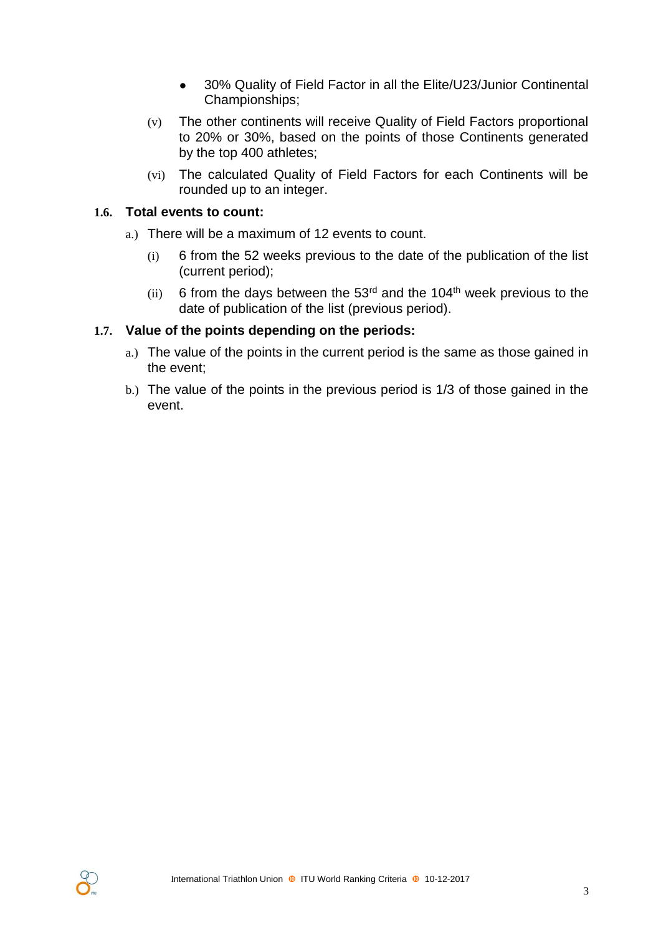- **●** 30% Quality of Field Factor in all the Elite/U23/Junior Continental Championships;
- (v) The other continents will receive Quality of Field Factors proportional to 20% or 30%, based on the points of those Continents generated by the top 400 athletes;
- (vi) The calculated Quality of Field Factors for each Continents will be rounded up to an integer.

### **1.6. Total events to count:**

- a.) There will be a maximum of 12 events to count.
	- (i) 6 from the 52 weeks previous to the date of the publication of the list (current period);
	- (ii) 6 from the days between the  $53<sup>rd</sup>$  and the 104<sup>th</sup> week previous to the date of publication of the list (previous period).

#### **1.7. Value of the points depending on the periods:**

- a.) The value of the points in the current period is the same as those gained in the event;
- b.) The value of the points in the previous period is 1/3 of those gained in the event.